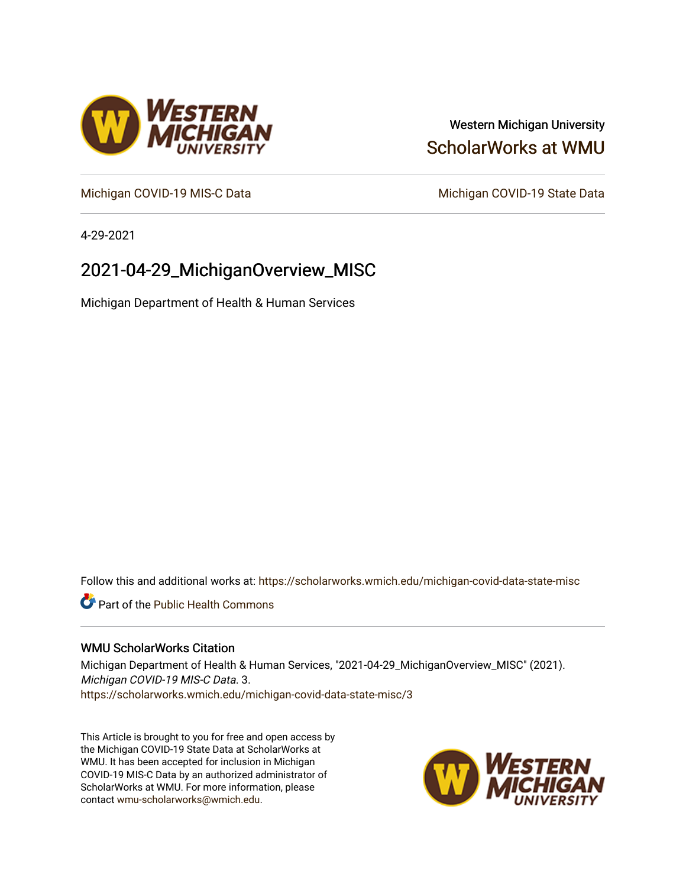## Western Michigan University [ScholarWorks at WMU](https://scholarworks.wmich.edu/)

[Michigan COVID-19 MIS-C Data](https://scholarworks.wmich.edu/michigan-covid-data-state-misc) Michigan COVID-19 State Data

4-29-2021

# 2021-04-29\_MichiganOverview\_MISC

Michigan Department of Health & Human Services

Follow this and additional works at: [https://scholarworks.wmich.edu/michigan-covid-data-state-misc](https://scholarworks.wmich.edu/michigan-covid-data-state-misc?utm_source=scholarworks.wmich.edu%2Fmichigan-covid-data-state-misc%2F3&utm_medium=PDF&utm_campaign=PDFCoverPages) 

**Part of the Public Health Commons** 

#### WMU ScholarWorks Citation

Michigan Department of Health & Human Services, "2021-04-29\_MichiganOverview\_MISC" (2021). Michigan COVID-19 MIS-C Data. 3. [https://scholarworks.wmich.edu/michigan-covid-data-state-misc/3](https://scholarworks.wmich.edu/michigan-covid-data-state-misc/3?utm_source=scholarworks.wmich.edu%2Fmichigan-covid-data-state-misc%2F3&utm_medium=PDF&utm_campaign=PDFCoverPages) 

This Article is brought to you for free and open access by the Michigan COVID-19 State Data at ScholarWorks at WMU. It has been accepted for inclusion in Michigan COVID-19 MIS-C Data by an authorized administrator of ScholarWorks at WMU. For more information, please contact [wmu-scholarworks@wmich.edu](mailto:wmu-scholarworks@wmich.edu).



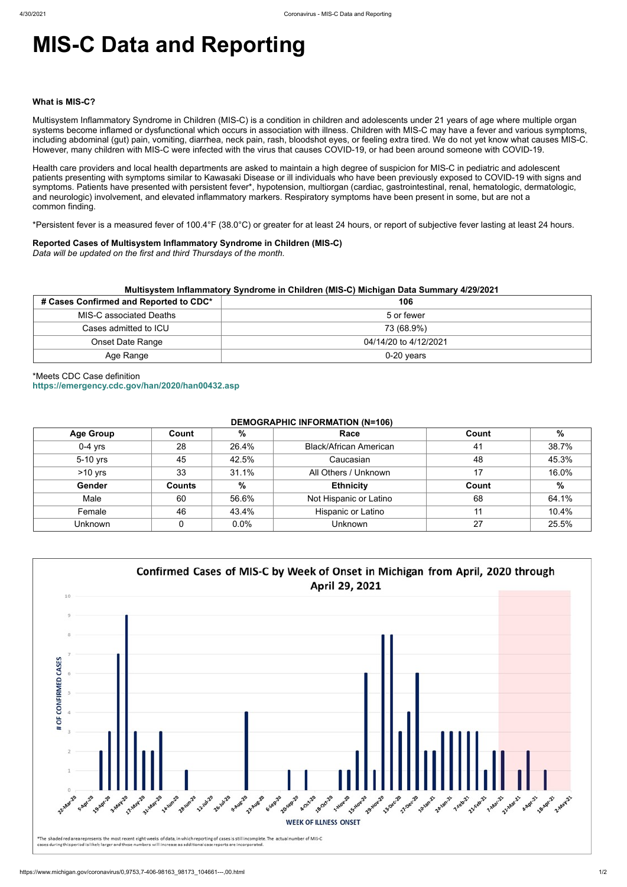# **MIS-C Data and Reporting**

#### **What is MIS-C?**

Multisystem Inflammatory Syndrome in Children (MIS-C) is a condition in children and adolescents under 21 years of age where multiple organ systems become inflamed or dysfunctional which occurs in association with illness. Children with MIS-C may have a fever and various symptoms, including abdominal (gut) pain, vomiting, diarrhea, neck pain, rash, bloodshot eyes, or feeling extra tired. We do not yet know what causes MIS-C. However, many children with MIS-C were infected with the virus that causes COVID-19, or had been around someone with COVID-19.

Health care providers and local health departments are asked to maintain a high degree of suspicion for MIS-C in pediatric and adolescent patients presenting with symptoms similar to Kawasaki Disease or ill individuals who have been previously exposed to COVID-19 with signs and symptoms. Patients have presented with persistent fever\*, hypotension, multiorgan (cardiac, gastrointestinal, renal, hematologic, dermatologic, and neurologic) involvement, and elevated inflammatory markers. Respiratory symptoms have been present in some, but are not a common finding.

\*Persistent fever is a measured fever of 100.4°F (38.0°C) or greater for at least 24 hours, or report of subjective fever lasting at least 24 hours.

#### **Reported Cases of Multisystem Inflammatory Syndrome in Children (MIS-C)**

*Data will be updated on the first and third Thursdays of the month.*

| Multisystem Inflammatory Syndrome in Children (MIS-C) Michigan Data Summary 4/29/2021 |                       |  |  |  |
|---------------------------------------------------------------------------------------|-----------------------|--|--|--|
| # Cases Confirmed and Reported to CDC*                                                | 106                   |  |  |  |
| MIS-C associated Deaths                                                               | 5 or fewer            |  |  |  |
| Cases admitted to ICU                                                                 | 73 (68.9%)            |  |  |  |
| <b>Onset Date Range</b>                                                               | 04/14/20 to 4/12/2021 |  |  |  |
| Age Range                                                                             | $0-20$ years          |  |  |  |

## \*Meets CDC Case definition **<https://emergency.cdc.gov/han/2020/han00432.asp>**

#### **DEMOGRAPHIC INFORMATION (N=106)**

| <b>Age Group</b> | Count         | %     | Race                          | Count | $\%$  |
|------------------|---------------|-------|-------------------------------|-------|-------|
| $0-4$ yrs        | 28            | 26.4% | <b>Black/African American</b> | 41    | 38.7% |
| 5-10 yrs         | 45            | 42.5% | Caucasian                     | 48    | 45.3% |
| $>10$ yrs        | 33            | 31.1% | All Others / Unknown          | 17    | 16.0% |
| Gender           | <b>Counts</b> | $\%$  | <b>Ethnicity</b>              | Count | $\%$  |
| Male             | 60            | 56.6% | Not Hispanic or Latino        | 68    | 64.1% |
| Female           | 46            | 43.4% | Hispanic or Latino            | 11    | 10.4% |
| <b>Unknown</b>   |               | 0.0%  | <b>Unknown</b>                | 27    | 25.5% |